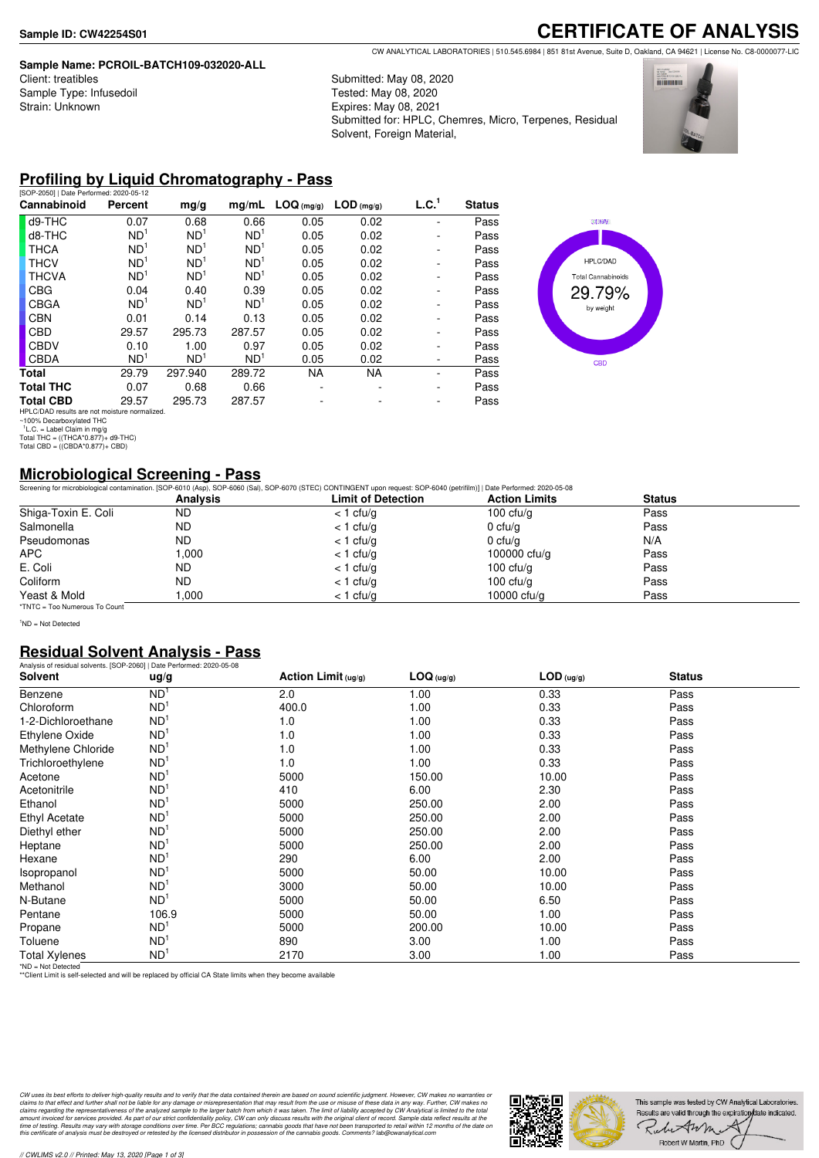#### **Sample Name: PCROIL-BATCH109-032020-ALL**

| Client: treatibles      |
|-------------------------|
| Sample Type: Infusedoil |
| Strain: Unknown         |

CW ANALYTICAL LABORATORIES | 510.545.6984 | 851 81st Avenue, Suite D, Oakland, CA 94621 | License No. C8-0000077-LIC

Submitted: May 08, 2020 Tested: May 08, 2020 Expires: May 08, 2021 Submitted for: HPLC, Chemres, Micro, Terpenes, Residual Solvent, Foreign Material,



**CERTIFICATE OF ANALYSIS**

### **Profiling by Liquid Chromatography - Pass**

| [SOP-2050]   Date Performed: 2020-05-12                |                 |                 |                 |            |              |                   |               |
|--------------------------------------------------------|-----------------|-----------------|-----------------|------------|--------------|-------------------|---------------|
| Cannabinoid                                            | Percent         | mg/g            | mq/mL           | LOG (mg/g) | $LOD$ (mg/g) | L.C. <sup>1</sup> | <b>Status</b> |
| d9-THC                                                 | 0.07            | 0.68            | 0.66            | 0.05       | 0.02         |                   | Pass          |
| d8-THC                                                 | ND <sup>1</sup> | ND <sup>1</sup> | ND <sup>1</sup> | 0.05       | 0.02         |                   | Pass          |
| <b>THCA</b>                                            | ND <sup>1</sup> | ND <sup>1</sup> | ND <sup>1</sup> | 0.05       | 0.02         |                   | Pass          |
| <b>THCV</b>                                            | ND <sup>1</sup> | ND <sup>1</sup> | ND <sup>1</sup> | 0.05       | 0.02         |                   | Pass          |
| <b>THCVA</b>                                           | ND <sup>1</sup> | ND <sup>1</sup> | ND <sup>1</sup> | 0.05       | 0.02         |                   | Pass          |
| <b>CBG</b>                                             | 0.04            | 0.40            | 0.39            | 0.05       | 0.02         |                   | Pass          |
| <b>CBGA</b>                                            | ND <sup>1</sup> | ND <sup>1</sup> | ND <sup>1</sup> | 0.05       | 0.02         |                   | Pass          |
| <b>CBN</b>                                             | 0.01            | 0.14            | 0.13            | 0.05       | 0.02         |                   | Pass          |
| <b>CBD</b>                                             | 29.57           | 295.73          | 287.57          | 0.05       | 0.02         |                   | Pass          |
| CBDV                                                   | 0.10            | 1.00            | 0.97            | 0.05       | 0.02         |                   | Pass          |
| <b>CBDA</b>                                            | ND <sup>1</sup> | ND <sup>1</sup> | ND <sup>1</sup> | 0.05       | 0.02         |                   | Pass          |
| Total                                                  | 29.79           | 297.940         | 289.72          | <b>NA</b>  | <b>NA</b>    |                   | Pass          |
| <b>Total THC</b>                                       | 0.07            | 0.68            | 0.66            |            |              |                   | Pass          |
| <b>Total CBD</b>                                       | 29.57           | 295.73          | 287.57          |            |              |                   | Pass          |
| $11D1$ $O/DAD$ searches are not matching proposalized. |                 |                 |                 |            |              |                   |               |



HPLC/DAD results are not moisture normalized. ~100% Decarboxylated THC 1 L.C. = Label Claim in mg/g Total THC = ((THCA\*0.877)+ d9-THC) Total CBD = ((CBDA\*0.877)+ CBD)

#### **Microbiological Screening - Pass**

Screening for microbiological contamination. [SOP-6010 (Asp), SOP-6060 (Sal), SOP-6070 (STEC) CONTINGENT upon request: SOP-6040 (petrifilm)] | Date Performed: 2020-05-08

|                               | <b>Analysis</b> | <b>Limit of Detection</b> | <b>Action Limits</b> | <b>Status</b> |  |
|-------------------------------|-----------------|---------------------------|----------------------|---------------|--|
| Shiga-Toxin E. Coli           | <b>ND</b>       | $<$ 1 cfu/g               | 100 $ctu/a$          | Pass          |  |
| Salmonella                    | <b>ND</b>       | $<$ 1 cfu/g               | 0 $ctu/g$            | Pass          |  |
| Pseudomonas                   | <b>ND</b>       | $<$ 1 cfu/g               | $0 \text{ c}$ fu/q   | N/A           |  |
| <b>APC</b>                    | .000            | $<$ 1 cfu/g               | 100000 $ctu/g$       | Pass          |  |
| E. Coli                       | ND.             | $<$ 1 cfu/g               | 100 $ctu/a$          | Pass          |  |
| Coliform                      | <b>ND</b>       | $<$ 1 cfu/g               | 100 $ctu/a$          | Pass          |  |
| Yeast & Mold                  | .000            | $<$ 1 cfu/g               | 10000 cfu/g          | Pass          |  |
| *TNTC = Too Numerous To Count |                 |                           |                      |               |  |

<sup>1</sup>ND = Not Detected

#### **Residual Solvent Analysis - Pass**

| Analysis of residual solvents. [SOP-2060]   Date Performed: 2020-05-08 |                 |                     |            |              |               |  |
|------------------------------------------------------------------------|-----------------|---------------------|------------|--------------|---------------|--|
| <b>Solvent</b>                                                         | ug/g            | Action Limit (ug/g) | LOG (ug/g) | $LOD$ (ug/g) | <b>Status</b> |  |
| Benzene                                                                | ND <sup>1</sup> | 2.0                 | 1.00       | 0.33         | Pass          |  |
| Chloroform                                                             | ND <sup>1</sup> | 400.0               | 1.00       | 0.33         | Pass          |  |
| 1-2-Dichloroethane                                                     | ND <sup>1</sup> | 1.0                 | 1.00       | 0.33         | Pass          |  |
| Ethylene Oxide                                                         | ND <sup>1</sup> | 1.0                 | 1.00       | 0.33         | Pass          |  |
| Methylene Chloride                                                     | ND <sup>1</sup> | 1.0                 | 1.00       | 0.33         | Pass          |  |
| Trichloroethylene                                                      | ND <sup>1</sup> | 1.0                 | 1.00       | 0.33         | Pass          |  |
| Acetone                                                                | ND <sup>1</sup> | 5000                | 150.00     | 10.00        | Pass          |  |
| Acetonitrile                                                           | ND <sup>1</sup> | 410                 | 6.00       | 2.30         | Pass          |  |
| Ethanol                                                                | ND <sup>1</sup> | 5000                | 250.00     | 2.00         | Pass          |  |
| Ethyl Acetate                                                          | ND <sup>1</sup> | 5000                | 250.00     | 2.00         | Pass          |  |
| Diethyl ether                                                          | ND <sup>1</sup> | 5000                | 250.00     | 2.00         | Pass          |  |
| Heptane                                                                | ND <sup>1</sup> | 5000                | 250.00     | 2.00         | Pass          |  |
| Hexane                                                                 | ND <sup>1</sup> | 290                 | 6.00       | 2.00         | Pass          |  |
| Isopropanol                                                            | ND <sup>1</sup> | 5000                | 50.00      | 10.00        | Pass          |  |
| Methanol                                                               | ND <sup>1</sup> | 3000                | 50.00      | 10.00        | Pass          |  |
| N-Butane                                                               | ND <sup>1</sup> | 5000                | 50.00      | 6.50         | Pass          |  |
| Pentane                                                                | 106.9           | 5000                | 50.00      | 1.00         | Pass          |  |
| Propane                                                                | ND <sup>1</sup> | 5000                | 200.00     | 10.00        | Pass          |  |
| Toluene                                                                | ND <sup>1</sup> | 890                 | 3.00       | 1.00         | Pass          |  |
| <b>Total Xylenes</b>                                                   | ND <sup>1</sup> | 2170                | 3.00       | 1.00         | Pass          |  |

\*ND = Not Detected \*\*Client Limit is self-selected and will be replaced by official CA State limits when they become available

CW uses its best efforts to deliver high-quality results and to verify that the data contained therein are based on sound scientific judgment. However, CW makes no warranties or<br>claims to that effect and turther shall not

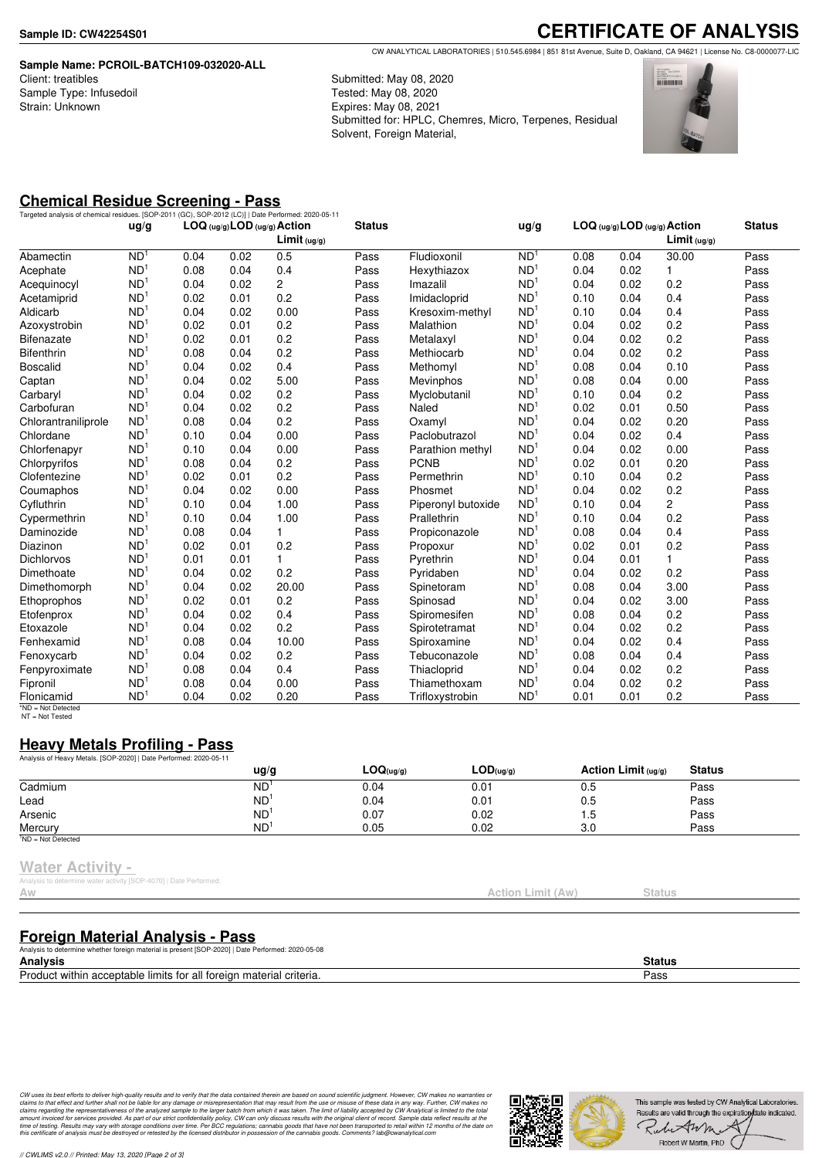#### **Sample Name: PCROIL-BATCH109-032020-ALL** Client: treatibles Sample Type: Infusedoil Strain: Unknown

**CERTIFICATE OF ANALYSIS** CW ANALYTICAL LABORATORIES | 510.545.6984 | 851 81st Avenue, Suite D, Oakland, CA 94621 | License No. C8-0000077-LIC

Submitted: May 08, 2020 Tested: May 08, 2020 Expires: May 08, 2021 Submitted for: HPLC, Chemres, Micro, Terpenes, Residual Solvent, Foreign Material,



### **Chemical Residue Screening - Pass**

| Targeted analysis of chemical residues. [SOP-2011 (GC), SOP-2012 (LC)]   Date Performed: 2020-05-11 |                 |      |      |                                                         |               |                    |                 |      |      |                                                |               |
|-----------------------------------------------------------------------------------------------------|-----------------|------|------|---------------------------------------------------------|---------------|--------------------|-----------------|------|------|------------------------------------------------|---------------|
|                                                                                                     | ug/g            |      |      | LOG (ug/g) LOD (ug/g) Action<br>Limit <sub>(ug/g)</sub> | <b>Status</b> |                    | ug/g            |      |      | LOG (ug/g) LOD (ug/g) Action<br>$Limit$ (ug/g) | <b>Status</b> |
| Abamectin                                                                                           | ND <sup>1</sup> | 0.04 | 0.02 | 0.5                                                     | Pass          | Fludioxonil        | ND <sup>1</sup> | 0.08 | 0.04 | 30.00                                          | Pass          |
| Acephate                                                                                            | ND <sup>1</sup> | 0.08 | 0.04 | 0.4                                                     | Pass          | Hexythiazox        | ND <sup>1</sup> | 0.04 | 0.02 | 1                                              | Pass          |
| Acequinocyl                                                                                         | ND <sup>1</sup> | 0.04 | 0.02 | $\overline{2}$                                          | Pass          | Imazalil           | ND <sup>1</sup> | 0.04 | 0.02 | 0.2                                            | Pass          |
| Acetamiprid                                                                                         | ND <sup>1</sup> | 0.02 | 0.01 | 0.2                                                     | Pass          | Imidacloprid       | ND <sup>1</sup> | 0.10 | 0.04 | 0.4                                            | Pass          |
| Aldicarb                                                                                            | ND <sup>1</sup> | 0.04 | 0.02 | 0.00                                                    | Pass          | Kresoxim-methyl    | ND <sup>1</sup> | 0.10 | 0.04 | 0.4                                            | Pass          |
| Azoxystrobin                                                                                        | ND <sup>1</sup> | 0.02 | 0.01 | 0.2                                                     | Pass          | Malathion          | ND <sup>1</sup> | 0.04 | 0.02 | 0.2                                            | Pass          |
| <b>Bifenazate</b>                                                                                   | ND <sup>1</sup> | 0.02 | 0.01 | 0.2                                                     | Pass          | Metalaxyl          | ND <sup>1</sup> | 0.04 | 0.02 | 0.2                                            | Pass          |
| <b>Bifenthrin</b>                                                                                   | ND <sup>1</sup> | 0.08 | 0.04 | 0.2                                                     | Pass          | Methiocarb         | ND <sup>1</sup> | 0.04 | 0.02 | 0.2                                            | Pass          |
| <b>Boscalid</b>                                                                                     | ND <sup>1</sup> | 0.04 | 0.02 | 0.4                                                     | Pass          | Methomyl           | ND <sup>1</sup> | 0.08 | 0.04 | 0.10                                           | Pass          |
| Captan                                                                                              | ND <sup>1</sup> | 0.04 | 0.02 | 5.00                                                    | Pass          | Mevinphos          | ND <sup>1</sup> | 0.08 | 0.04 | 0.00                                           | Pass          |
| Carbaryl                                                                                            | ND <sup>1</sup> | 0.04 | 0.02 | 0.2                                                     | Pass          | Myclobutanil       | ND <sup>1</sup> | 0.10 | 0.04 | 0.2                                            | Pass          |
| Carbofuran                                                                                          | ND <sup>1</sup> | 0.04 | 0.02 | 0.2                                                     | Pass          | Naled              | ND              | 0.02 | 0.01 | 0.50                                           | Pass          |
| Chlorantraniliprole                                                                                 | ND <sup>1</sup> | 0.08 | 0.04 | 0.2                                                     | Pass          | Oxamyl             | ND <sup>1</sup> | 0.04 | 0.02 | 0.20                                           | Pass          |
| Chlordane                                                                                           | ND <sup>1</sup> | 0.10 | 0.04 | 0.00                                                    | Pass          | Paclobutrazol      | ND <sup>1</sup> | 0.04 | 0.02 | 0.4                                            | Pass          |
| Chlorfenapyr                                                                                        | ND <sup>1</sup> | 0.10 | 0.04 | 0.00                                                    | Pass          | Parathion methyl   | ND <sup>1</sup> | 0.04 | 0.02 | 0.00                                           | Pass          |
| Chlorpyrifos                                                                                        | ND <sup>1</sup> | 0.08 | 0.04 | 0.2                                                     | Pass          | <b>PCNB</b>        | ND <sup>1</sup> | 0.02 | 0.01 | 0.20                                           | Pass          |
| Clofentezine                                                                                        | ND <sup>1</sup> | 0.02 | 0.01 | 0.2                                                     | Pass          | Permethrin         | ND <sup>1</sup> | 0.10 | 0.04 | 0.2                                            | Pass          |
| Coumaphos                                                                                           | ND <sup>1</sup> | 0.04 | 0.02 | 0.00                                                    | Pass          | Phosmet            | ND <sup>1</sup> | 0.04 | 0.02 | 0.2                                            | Pass          |
| Cyfluthrin                                                                                          | ND <sup>1</sup> | 0.10 | 0.04 | 1.00                                                    | Pass          | Piperonyl butoxide | ND <sup>1</sup> | 0.10 | 0.04 | $\overline{c}$                                 | Pass          |
| Cypermethrin                                                                                        | ND <sup>1</sup> | 0.10 | 0.04 | 1.00                                                    | Pass          | Prallethrin        | ND <sup>1</sup> | 0.10 | 0.04 | 0.2                                            | Pass          |
| Daminozide                                                                                          | ND <sup>1</sup> | 0.08 | 0.04 | 1                                                       | Pass          | Propiconazole      | ND <sup>1</sup> | 0.08 | 0.04 | 0.4                                            | Pass          |
| Diazinon                                                                                            | ND <sup>1</sup> | 0.02 | 0.01 | 0.2                                                     | Pass          | Propoxur           | ND <sup>1</sup> | 0.02 | 0.01 | 0.2                                            | Pass          |
| <b>Dichlorvos</b>                                                                                   | ND <sup>1</sup> | 0.01 | 0.01 | $\mathbf{1}$                                            | Pass          | Pyrethrin          | ND <sup>1</sup> | 0.04 | 0.01 | 1                                              | Pass          |
| Dimethoate                                                                                          | ND <sup>1</sup> | 0.04 | 0.02 | 0.2                                                     | Pass          | Pyridaben          | ND              | 0.04 | 0.02 | 0.2                                            | Pass          |
| Dimethomorph                                                                                        | ND <sup>1</sup> | 0.04 | 0.02 | 20.00                                                   | Pass          | Spinetoram         | ND <sup>1</sup> | 0.08 | 0.04 | 3.00                                           | Pass          |
| Ethoprophos                                                                                         | ND <sup>1</sup> | 0.02 | 0.01 | 0.2                                                     | Pass          | Spinosad           | ND <sup>1</sup> | 0.04 | 0.02 | 3.00                                           | Pass          |
| Etofenprox                                                                                          | ND <sup>1</sup> | 0.04 | 0.02 | 0.4                                                     | Pass          | Spiromesifen       | ND <sup>1</sup> | 0.08 | 0.04 | 0.2                                            | Pass          |
| Etoxazole                                                                                           | ND <sup>1</sup> | 0.04 | 0.02 | 0.2                                                     | Pass          | Spirotetramat      | ND <sup>1</sup> | 0.04 | 0.02 | 0.2                                            | Pass          |
| Fenhexamid                                                                                          | ND <sup>1</sup> | 0.08 | 0.04 | 10.00                                                   | Pass          | Spiroxamine        | ND <sup>1</sup> | 0.04 | 0.02 | 0.4                                            | Pass          |
| Fenoxycarb                                                                                          | ND <sup>1</sup> | 0.04 | 0.02 | 0.2                                                     | Pass          | Tebuconazole       | ND <sup>1</sup> | 0.08 | 0.04 | 0.4                                            | Pass          |
| Fenpyroximate                                                                                       | ND <sup>1</sup> | 0.08 | 0.04 | 0.4                                                     | Pass          | Thiacloprid        | ND <sup>1</sup> | 0.04 | 0.02 | 0.2                                            | Pass          |
| Fipronil                                                                                            | ND <sup>1</sup> | 0.08 | 0.04 | 0.00                                                    | Pass          | Thiamethoxam       | ND <sup>1</sup> | 0.04 | 0.02 | 0.2                                            | Pass          |
| Flonicamid                                                                                          | ND <sup>1</sup> | 0.04 | 0.02 | 0.20                                                    | Pass          | Trifloxystrobin    | ND <sup>1</sup> | 0.01 | 0.01 | 0.2                                            | Pass          |

\*ND = Not Detected NT = Not Tested

## **Heavy Metals Profiling - Pass**

| Analysis of Heavy Metals. [SOP-2020]   Date Performed: 2020-05-11 |               |           |           |                       |               |  |
|-------------------------------------------------------------------|---------------|-----------|-----------|-----------------------|---------------|--|
|                                                                   | $\frac{u}{g}$ | LOG(ug/g) | LOD(uq/q) | Action Limit $(uq/q)$ | <b>Status</b> |  |
| Cadmium                                                           | <b>ND</b>     | 0.04      | 0.01      | 0.5                   | Pass          |  |
| Lead                                                              | ND            | 0.04      | 0.01      | 0.5                   | Pass          |  |
| Arsenic                                                           | ND            | 0.07      | 0.02      | ט. ו                  | Pass          |  |
| Mercury                                                           | <b>ND</b>     | 0.05      | 0.02      | 3.0                   | Pass          |  |
| $1ND = Not detected$                                              |               |           |           |                       |               |  |

#### **Water Activity -**

| .                                                                 |  |
|-------------------------------------------------------------------|--|
|                                                                   |  |
| Analysis to determine water activity [SOP-4070]   Date Performed: |  |
|                                                                   |  |

| V |  |  |  |
|---|--|--|--|

**Foreign Material Analysis - Pass**

Analysis to determine whether foreign material is present [SOP-2020] | Date Performed: 2020-05-08 **Analysis Status** Product within acceptable limits for all foreign material criteria. Pass

CW uses its best efforts to deliver high-quality results and to verify that the data contained therein are based on sound scientific judgment. However, CW makes no warranties or<br>claims to that effect and turther shall not



Action Limit (Aw) Status